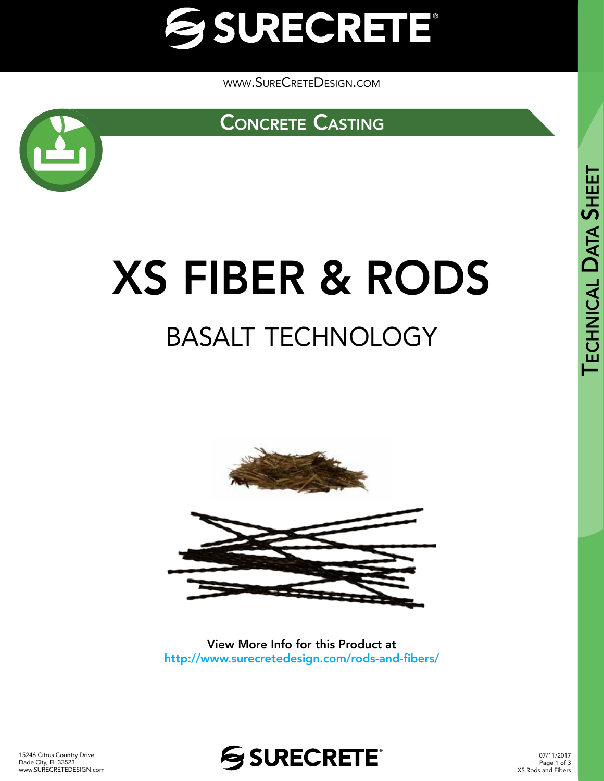

[www.SureCreteDesign.com](http://www.surecretedesign.com)





# XS FIBER & RODS basalt technology



View More Info for this Product at http://www.surecretedesign.com/rods-and-fibers/



07/11/2017 Page 1 of 3 XS Rods and Fibers TECHNICAL

DATA

**SHEET**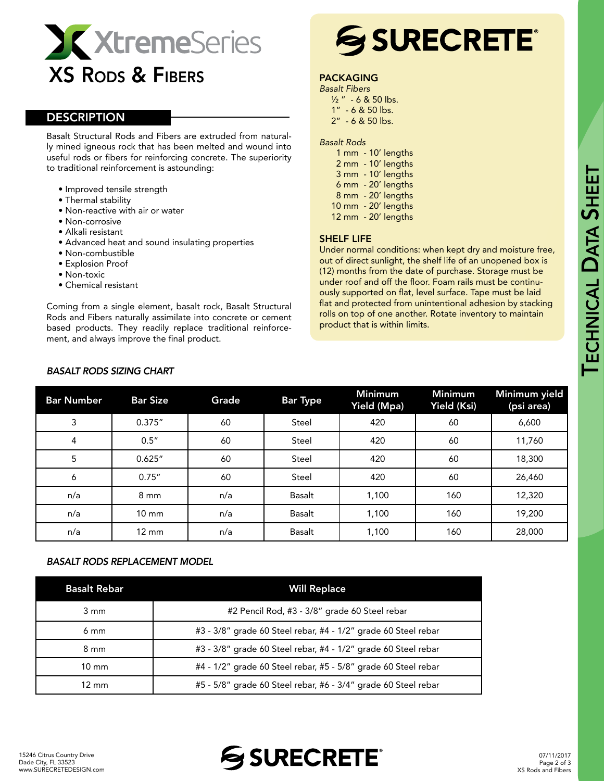

# **DESCRIPTION**

Basalt Structural Rods and Fibers are extruded from naturally mined igneous rock that has been melted and wound into useful rods or fibers for reinforcing concrete. The superiority to traditional reinforcement is astounding:

- Improved tensile strength
- Thermal stability
- Non-reactive with air or water
- Non-corrosive
- Alkali resistant
- Advanced heat and sound insulating properties
- Non-combustible
- Explosion Proof
- Non-toxic
- Chemical resistant

Coming from a single element, basalt rock, Basalt Structural Rods and Fibers naturally assimilate into concrete or cement based products. They readily replace traditional reinforcement, and always improve the final product.

# SSURECRETE®

# PACKAGING

*Basalt Fibers* ½ " - 6 & 50 lbs. 1" - 6 & 50 lbs. 2" - 6 & 50 lbs.

#### *Basalt Rods*

|                  | 1 mm - 10' lengths  |
|------------------|---------------------|
| $2 \, \text{mm}$ | - 10' lengths       |
|                  | 3 mm - 10' lengths  |
|                  | 6 mm - 20' lengths  |
|                  | 8 mm - 20' lengths  |
|                  | 10 mm - 20' lengths |
|                  | 12 mm - 20' lengths |

## SHELF LIFE

Under normal conditions: when kept dry and moisture free, out of direct sunlight, the shelf life of an unopened box is (12) months from the date of purchase. Storage must be under roof and off the floor. Foam rails must be continuously supported on flat, level surface. Tape must be laid flat and protected from unintentional adhesion by stacking rolls on top of one another. Rotate inventory to maintain product that is within limits.

| <b>Bar Number</b> | <b>Bar Size</b> | Grade | <b>Bar Type</b> | <b>Minimum</b><br>Yield (Mpa) | <b>Minimum</b><br>Yield (Ksi) | Minimum yield<br>(psi area) |
|-------------------|-----------------|-------|-----------------|-------------------------------|-------------------------------|-----------------------------|
| 3                 | 0.375''         | 60    | Steel           | 420                           | 60                            | 6,600                       |
| 4                 | 0.5''           | 60    | Steel           | 420                           | 60                            | 11,760                      |
| 5                 | 0.625''         | 60    | Steel           | 420                           | 60                            | 18,300                      |
| 6                 | 0.75''          | 60    | Steel           | 420                           | 60                            | 26,460                      |
| n/a               | $8 \text{ mm}$  | n/a   | Basalt          | 1,100                         | 160                           | 12,320                      |
| n/a               | $10 \text{ mm}$ | n/a   | Basalt          | 1,100                         | 160                           | 19,200                      |
| n/a               | $12 \text{ mm}$ | n/a   | Basalt          | 1,100                         | 160                           | 28,000                      |

## *BASALT RODS SIZING CHART*

#### *BASALT RODS REPLACEMENT MODEL*

| <b>Basalt Rebar</b> | <b>Will Replace</b>                                            |
|---------------------|----------------------------------------------------------------|
| $3 \text{ mm}$      | #2 Pencil Rod, #3 - 3/8" grade 60 Steel rebar                  |
| 6 mm                | #3 - 3/8" grade 60 Steel rebar, #4 - 1/2" grade 60 Steel rebar |
| 8 mm                | #3 - 3/8" grade 60 Steel rebar, #4 - 1/2" grade 60 Steel rebar |
| $10 \text{ mm}$     | #4 - 1/2" grade 60 Steel rebar, #5 - 5/8" grade 60 Steel rebar |
| $12 \text{ mm}$     | #5 - 5/8" grade 60 Steel rebar, #6 - 3/4" grade 60 Steel rebar |